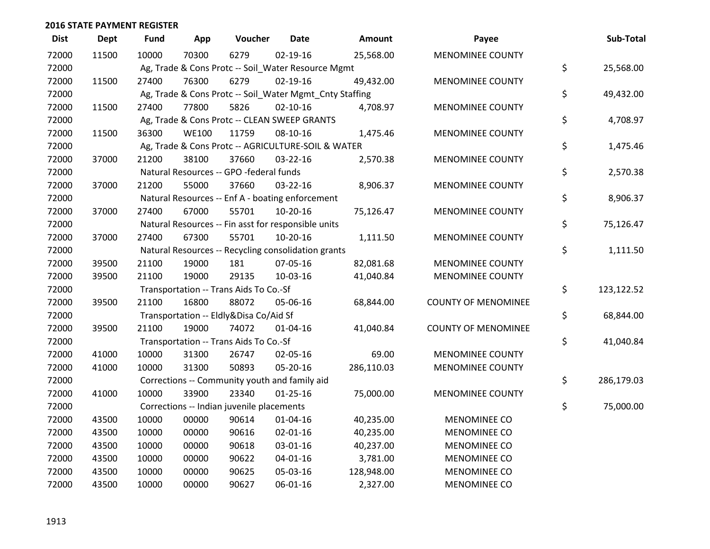| <b>Dist</b> | <b>Dept</b> | Fund                                                    | App             | Voucher                                             | <b>Date</b>    | Amount     | Payee                      | Sub-Total        |
|-------------|-------------|---------------------------------------------------------|-----------------|-----------------------------------------------------|----------------|------------|----------------------------|------------------|
| 72000       | 11500       | 10000                                                   | 70300           | 6279                                                | $02 - 19 - 16$ | 25,568.00  | <b>MENOMINEE COUNTY</b>    |                  |
| 72000       |             | Ag, Trade & Cons Protc -- Soil_Water Resource Mgmt      | \$<br>25,568.00 |                                                     |                |            |                            |                  |
| 72000       | 11500       | 27400                                                   | 76300           | 6279                                                | $02 - 19 - 16$ | 49,432.00  | <b>MENOMINEE COUNTY</b>    |                  |
| 72000       |             | Ag, Trade & Cons Protc -- Soil_Water Mgmt_Cnty Staffing | \$<br>49,432.00 |                                                     |                |            |                            |                  |
| 72000       | 11500       | 27400                                                   | 77800           | 5826                                                | $02 - 10 - 16$ | 4,708.97   | <b>MENOMINEE COUNTY</b>    |                  |
| 72000       |             |                                                         |                 | Ag, Trade & Cons Protc -- CLEAN SWEEP GRANTS        |                |            |                            | \$<br>4,708.97   |
| 72000       | 11500       | 36300                                                   | <b>WE100</b>    | 11759                                               | 08-10-16       | 1,475.46   | <b>MENOMINEE COUNTY</b>    |                  |
| 72000       |             |                                                         |                 | Ag, Trade & Cons Protc -- AGRICULTURE-SOIL & WATER  |                |            |                            | \$<br>1,475.46   |
| 72000       | 37000       | 21200                                                   | 38100           | 37660                                               | $03 - 22 - 16$ | 2,570.38   | <b>MENOMINEE COUNTY</b>    |                  |
| 72000       |             |                                                         |                 | Natural Resources -- GPO -federal funds             |                |            |                            | \$<br>2,570.38   |
| 72000       | 37000       | 21200                                                   | 55000           | 37660                                               | 03-22-16       | 8,906.37   | <b>MENOMINEE COUNTY</b>    |                  |
| 72000       |             |                                                         |                 | Natural Resources -- Enf A - boating enforcement    |                |            |                            | \$<br>8,906.37   |
| 72000       | 37000       | 27400                                                   | 67000           | 55701                                               | 10-20-16       | 75,126.47  | <b>MENOMINEE COUNTY</b>    |                  |
| 72000       |             |                                                         |                 | Natural Resources -- Fin asst for responsible units |                |            |                            | \$<br>75,126.47  |
| 72000       | 37000       | 27400                                                   | 67300           | 55701                                               | $10-20-16$     | 1,111.50   | <b>MENOMINEE COUNTY</b>    |                  |
| 72000       |             |                                                         |                 | Natural Resources -- Recycling consolidation grants |                |            |                            | \$<br>1,111.50   |
| 72000       | 39500       | 21100                                                   | 19000           | 181                                                 | 07-05-16       | 82,081.68  | <b>MENOMINEE COUNTY</b>    |                  |
| 72000       | 39500       | 21100                                                   | 19000           | 29135                                               | 10-03-16       | 41,040.84  | <b>MENOMINEE COUNTY</b>    |                  |
| 72000       |             |                                                         |                 | Transportation -- Trans Aids To Co.-Sf              |                |            |                            | \$<br>123,122.52 |
| 72000       | 39500       | 21100                                                   | 16800           | 88072                                               | 05-06-16       | 68,844.00  | <b>COUNTY OF MENOMINEE</b> |                  |
| 72000       |             |                                                         |                 | Transportation -- Eldly&Disa Co/Aid Sf              |                |            |                            | \$<br>68,844.00  |
| 72000       | 39500       | 21100                                                   | 19000           | 74072                                               | $01 - 04 - 16$ | 41,040.84  | <b>COUNTY OF MENOMINEE</b> |                  |
| 72000       |             |                                                         |                 | Transportation -- Trans Aids To Co.-Sf              |                |            |                            | \$<br>41,040.84  |
| 72000       | 41000       | 10000                                                   | 31300           | 26747                                               | 02-05-16       | 69.00      | <b>MENOMINEE COUNTY</b>    |                  |
| 72000       | 41000       | 10000                                                   | 31300           | 50893                                               | 05-20-16       | 286,110.03 | <b>MENOMINEE COUNTY</b>    |                  |
| 72000       |             |                                                         |                 | Corrections -- Community youth and family aid       |                |            |                            | \$<br>286,179.03 |
| 72000       | 41000       | 10000                                                   | 33900           | 23340                                               | $01 - 25 - 16$ | 75,000.00  | <b>MENOMINEE COUNTY</b>    |                  |
| 72000       |             |                                                         |                 | Corrections -- Indian juvenile placements           |                |            |                            | \$<br>75,000.00  |
| 72000       | 43500       | 10000                                                   | 00000           | 90614                                               | $01 - 04 - 16$ | 40,235.00  | MENOMINEE CO               |                  |
| 72000       | 43500       | 10000                                                   | 00000           | 90616                                               | $02 - 01 - 16$ | 40,235.00  | MENOMINEE CO               |                  |
| 72000       | 43500       | 10000                                                   | 00000           | 90618                                               | 03-01-16       | 40,237.00  | MENOMINEE CO               |                  |
| 72000       | 43500       | 10000                                                   | 00000           | 90622                                               | 04-01-16       | 3,781.00   | MENOMINEE CO               |                  |
| 72000       | 43500       | 10000                                                   | 00000           | 90625                                               | 05-03-16       | 128,948.00 | MENOMINEE CO               |                  |
| 72000       | 43500       | 10000                                                   | 00000           | 90627                                               | 06-01-16       | 2,327.00   | MENOMINEE CO               |                  |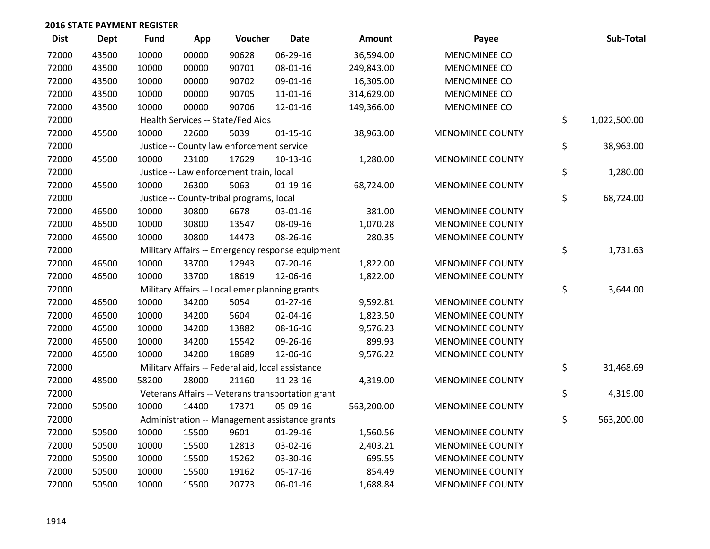| <b>Dist</b> | <b>Dept</b>                                    | <b>Fund</b> | App   | Voucher                                           | <b>Date</b>    | Amount     | Payee                   |    | Sub-Total    |
|-------------|------------------------------------------------|-------------|-------|---------------------------------------------------|----------------|------------|-------------------------|----|--------------|
| 72000       | 43500                                          | 10000       | 00000 | 90628                                             | 06-29-16       | 36,594.00  | MENOMINEE CO            |    |              |
| 72000       | 43500                                          | 10000       | 00000 | 90701                                             | 08-01-16       | 249,843.00 | MENOMINEE CO            |    |              |
| 72000       | 43500                                          | 10000       | 00000 | 90702                                             | 09-01-16       | 16,305.00  | MENOMINEE CO            |    |              |
| 72000       | 43500                                          | 10000       | 00000 | 90705                                             | 11-01-16       | 314,629.00 | MENOMINEE CO            |    |              |
| 72000       | 43500                                          | 10000       | 00000 | 90706                                             | 12-01-16       | 149,366.00 | MENOMINEE CO            |    |              |
| 72000       |                                                |             |       | Health Services -- State/Fed Aids                 |                |            |                         | \$ | 1,022,500.00 |
| 72000       | 45500                                          | 10000       | 22600 | 5039                                              | $01 - 15 - 16$ | 38,963.00  | <b>MENOMINEE COUNTY</b> |    |              |
| 72000       |                                                |             |       | Justice -- County law enforcement service         |                |            |                         | \$ | 38,963.00    |
| 72000       | 45500                                          | 10000       | 23100 | 17629                                             | $10-13-16$     | 1,280.00   | <b>MENOMINEE COUNTY</b> |    |              |
| 72000       |                                                |             |       | Justice -- Law enforcement train, local           |                |            |                         | \$ | 1,280.00     |
| 72000       | 45500                                          | 10000       | 26300 | 5063                                              | $01-19-16$     | 68,724.00  | <b>MENOMINEE COUNTY</b> |    |              |
| 72000       |                                                |             |       | Justice -- County-tribal programs, local          |                |            |                         | \$ | 68,724.00    |
| 72000       | 46500                                          | 10000       | 30800 | 6678                                              | 03-01-16       | 381.00     | <b>MENOMINEE COUNTY</b> |    |              |
| 72000       | 46500                                          | 10000       | 30800 | 13547                                             | 08-09-16       | 1,070.28   | <b>MENOMINEE COUNTY</b> |    |              |
| 72000       | 46500                                          | 10000       | 30800 | 14473                                             | 08-26-16       | 280.35     | <b>MENOMINEE COUNTY</b> |    |              |
| 72000       |                                                |             |       | Military Affairs -- Emergency response equipment  |                |            |                         | \$ | 1,731.63     |
| 72000       | 46500                                          | 10000       | 33700 | 12943                                             | 07-20-16       | 1,822.00   | <b>MENOMINEE COUNTY</b> |    |              |
| 72000       | 46500                                          | 10000       | 33700 | 18619                                             | 12-06-16       | 1,822.00   | <b>MENOMINEE COUNTY</b> |    |              |
| 72000       |                                                |             |       | Military Affairs -- Local emer planning grants    |                |            |                         | \$ | 3,644.00     |
| 72000       | 46500                                          | 10000       | 34200 | 5054                                              | $01-27-16$     | 9,592.81   | <b>MENOMINEE COUNTY</b> |    |              |
| 72000       | 46500                                          | 10000       | 34200 | 5604                                              | 02-04-16       | 1,823.50   | <b>MENOMINEE COUNTY</b> |    |              |
| 72000       | 46500                                          | 10000       | 34200 | 13882                                             | 08-16-16       | 9,576.23   | <b>MENOMINEE COUNTY</b> |    |              |
| 72000       | 46500                                          | 10000       | 34200 | 15542                                             | 09-26-16       | 899.93     | <b>MENOMINEE COUNTY</b> |    |              |
| 72000       | 46500                                          | 10000       | 34200 | 18689                                             | 12-06-16       | 9,576.22   | <b>MENOMINEE COUNTY</b> |    |              |
| 72000       |                                                |             |       | Military Affairs -- Federal aid, local assistance |                |            |                         | \$ | 31,468.69    |
| 72000       | 48500                                          | 58200       | 28000 | 21160                                             | 11-23-16       | 4,319.00   | <b>MENOMINEE COUNTY</b> |    |              |
| 72000       |                                                |             |       | Veterans Affairs -- Veterans transportation grant |                |            |                         | \$ | 4,319.00     |
| 72000       | 50500                                          | 10000       | 14400 | 17371                                             | 05-09-16       | 563,200.00 | <b>MENOMINEE COUNTY</b> |    |              |
| 72000       | Administration -- Management assistance grants |             |       |                                                   |                |            |                         |    | 563,200.00   |
| 72000       | 50500                                          | 10000       | 15500 | 9601                                              | 01-29-16       | 1,560.56   | <b>MENOMINEE COUNTY</b> |    |              |
| 72000       | 50500                                          | 10000       | 15500 | 12813                                             | 03-02-16       | 2,403.21   | <b>MENOMINEE COUNTY</b> |    |              |
| 72000       | 50500                                          | 10000       | 15500 | 15262                                             | 03-30-16       | 695.55     | <b>MENOMINEE COUNTY</b> |    |              |
| 72000       | 50500                                          | 10000       | 15500 | 19162                                             | $05-17-16$     | 854.49     | <b>MENOMINEE COUNTY</b> |    |              |
| 72000       | 50500                                          | 10000       | 15500 | 20773                                             | 06-01-16       | 1,688.84   | <b>MENOMINEE COUNTY</b> |    |              |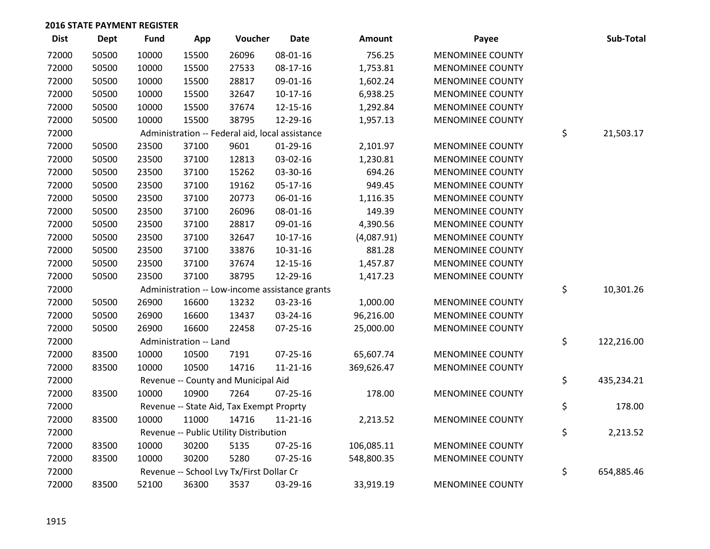| <b>Dist</b> | <b>Dept</b> | <b>Fund</b>                            | App                    | Voucher                                        | <b>Date</b>    | <b>Amount</b> | Payee                   | Sub-Total        |
|-------------|-------------|----------------------------------------|------------------------|------------------------------------------------|----------------|---------------|-------------------------|------------------|
| 72000       | 50500       | 10000                                  | 15500                  | 26096                                          | 08-01-16       | 756.25        | <b>MENOMINEE COUNTY</b> |                  |
| 72000       | 50500       | 10000                                  | 15500                  | 27533                                          | 08-17-16       | 1,753.81      | <b>MENOMINEE COUNTY</b> |                  |
| 72000       | 50500       | 10000                                  | 15500                  | 28817                                          | 09-01-16       | 1,602.24      | <b>MENOMINEE COUNTY</b> |                  |
| 72000       | 50500       | 10000                                  | 15500                  | 32647                                          | $10-17-16$     | 6,938.25      | <b>MENOMINEE COUNTY</b> |                  |
| 72000       | 50500       | 10000                                  | 15500                  | 37674                                          | 12-15-16       | 1,292.84      | <b>MENOMINEE COUNTY</b> |                  |
| 72000       | 50500       | 10000                                  | 15500                  | 38795                                          | 12-29-16       | 1,957.13      | <b>MENOMINEE COUNTY</b> |                  |
| 72000       |             | \$<br>21,503.17                        |                        |                                                |                |               |                         |                  |
| 72000       | 50500       | 23500                                  | 37100                  | 9601                                           | $01-29-16$     | 2,101.97      | <b>MENOMINEE COUNTY</b> |                  |
| 72000       | 50500       | 23500                                  | 37100                  | 12813                                          | 03-02-16       | 1,230.81      | <b>MENOMINEE COUNTY</b> |                  |
| 72000       | 50500       | 23500                                  | 37100                  | 15262                                          | 03-30-16       | 694.26        | <b>MENOMINEE COUNTY</b> |                  |
| 72000       | 50500       | 23500                                  | 37100                  | 19162                                          | 05-17-16       | 949.45        | <b>MENOMINEE COUNTY</b> |                  |
| 72000       | 50500       | 23500                                  | 37100                  | 20773                                          | 06-01-16       | 1,116.35      | <b>MENOMINEE COUNTY</b> |                  |
| 72000       | 50500       | 23500                                  | 37100                  | 26096                                          | 08-01-16       | 149.39        | <b>MENOMINEE COUNTY</b> |                  |
| 72000       | 50500       | 23500                                  | 37100                  | 28817                                          | 09-01-16       | 4,390.56      | <b>MENOMINEE COUNTY</b> |                  |
| 72000       | 50500       | 23500                                  | 37100                  | 32647                                          | $10-17-16$     | (4,087.91)    | <b>MENOMINEE COUNTY</b> |                  |
| 72000       | 50500       | 23500                                  | 37100                  | 33876                                          | 10-31-16       | 881.28        | <b>MENOMINEE COUNTY</b> |                  |
| 72000       | 50500       | 23500                                  | 37100                  | 37674                                          | 12-15-16       | 1,457.87      | <b>MENOMINEE COUNTY</b> |                  |
| 72000       | 50500       | 23500                                  | 37100                  | 38795                                          | 12-29-16       | 1,417.23      | <b>MENOMINEE COUNTY</b> |                  |
| 72000       |             |                                        |                        | Administration -- Low-income assistance grants |                |               |                         | \$<br>10,301.26  |
| 72000       | 50500       | 26900                                  | 16600                  | 13232                                          | 03-23-16       | 1,000.00      | <b>MENOMINEE COUNTY</b> |                  |
| 72000       | 50500       | 26900                                  | 16600                  | 13437                                          | 03-24-16       | 96,216.00     | <b>MENOMINEE COUNTY</b> |                  |
| 72000       | 50500       | 26900                                  | 16600                  | 22458                                          | 07-25-16       | 25,000.00     | <b>MENOMINEE COUNTY</b> |                  |
| 72000       |             |                                        | Administration -- Land |                                                |                |               |                         | \$<br>122,216.00 |
| 72000       | 83500       | 10000                                  | 10500                  | 7191                                           | $07 - 25 - 16$ | 65,607.74     | <b>MENOMINEE COUNTY</b> |                  |
| 72000       | 83500       | 10000                                  | 10500                  | 14716                                          | 11-21-16       | 369,626.47    | <b>MENOMINEE COUNTY</b> |                  |
| 72000       |             |                                        |                        | Revenue -- County and Municipal Aid            |                |               |                         | \$<br>435,234.21 |
| 72000       | 83500       | 10000                                  | 10900                  | 7264                                           | $07 - 25 - 16$ | 178.00        | <b>MENOMINEE COUNTY</b> |                  |
| 72000       |             |                                        |                        | Revenue -- State Aid, Tax Exempt Proprty       |                |               |                         | \$<br>178.00     |
| 72000       | 83500       | 10000                                  | 11000                  | 14716                                          | $11 - 21 - 16$ | 2,213.52      | <b>MENOMINEE COUNTY</b> |                  |
| 72000       |             | Revenue -- Public Utility Distribution | \$<br>2,213.52         |                                                |                |               |                         |                  |
| 72000       | 83500       | 10000                                  | 30200                  | 5135                                           | 07-25-16       | 106,085.11    | <b>MENOMINEE COUNTY</b> |                  |
| 72000       | 83500       | 10000                                  | 30200                  | 5280                                           | $07 - 25 - 16$ | 548,800.35    | <b>MENOMINEE COUNTY</b> |                  |
| 72000       |             |                                        |                        | Revenue -- School Lvy Tx/First Dollar Cr       |                |               |                         | \$<br>654,885.46 |
| 72000       | 83500       | 52100                                  | 36300                  | 3537                                           | 03-29-16       | 33,919.19     | <b>MENOMINEE COUNTY</b> |                  |